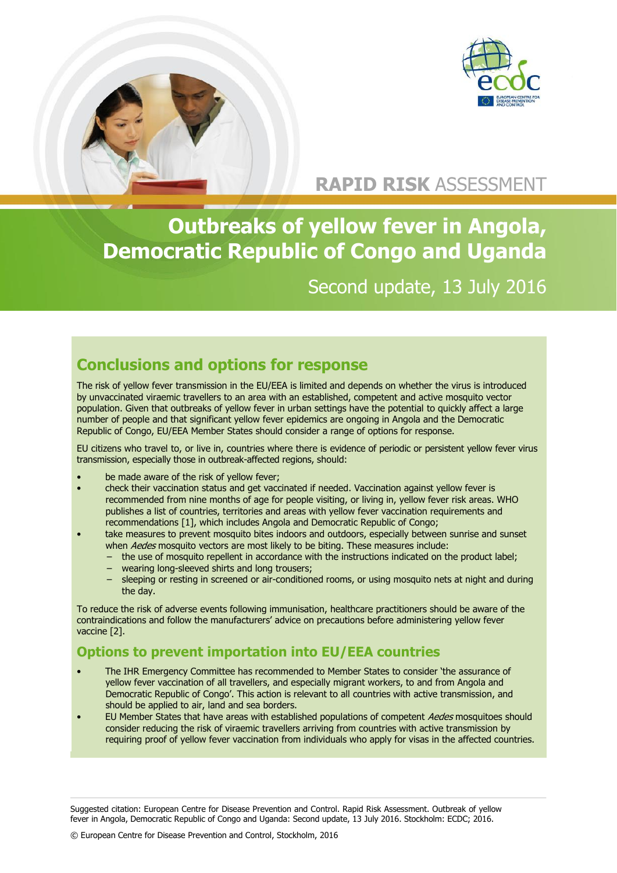

## **RAPID RISK** ASSESSMENT

**Outbreaks of yellow fever in Angola, Democratic Republic of Congo and Uganda**

Second update, 13 July 2016

## **Conclusions and options for response**

The risk of yellow fever transmission in the EU/EEA is limited and depends on whether the virus is introduced by unvaccinated viraemic travellers to an area with an established, competent and active mosquito vector population. Given that outbreaks of yellow fever in urban settings have the potential to quickly affect a large number of people and that significant yellow fever epidemics are ongoing in Angola and the Democratic Republic of Congo, EU/EEA Member States should consider a range of options for response.

EU citizens who travel to, or live in, countries where there is evidence of periodic or persistent yellow fever virus transmission, especially those in outbreak-affected regions, should:

- be made aware of the risk of yellow fever;
- check their vaccination status and get vaccinated if needed. Vaccination against yellow fever is recommended from nine months of age for people visiting, or living in, yellow fever risk areas. WHO publishes a list of countries, territories and areas with yellow fever vaccination requirements and recommendations [1], which includes Angola and Democratic Republic of Congo;
- take measures to prevent mosquito bites indoors and outdoors, especially between sunrise and sunset when Aedes mosquito vectors are most likely to be biting. These measures include:
	- − the use of mosquito repellent in accordance with the instructions indicated on the product label;
	- − wearing long-sleeved shirts and long trousers;
	- sleeping or resting in screened or air-conditioned rooms, or using mosquito nets at night and during the day.

To reduce the risk of adverse events following immunisation, healthcare practitioners should be aware of the contraindications and follow the manufacturers' advice on precautions before administering yellow fever vaccine [2].

#### **Options to prevent importation into EU/EEA countries**

- The IHR Emergency Committee has recommended to Member States to consider 'the assurance of yellow fever vaccination of all travellers, and especially migrant workers, to and from Angola and Democratic Republic of Congo'. This action is relevant to all countries with active transmission, and should be applied to air, land and sea borders.
- EU Member States that have areas with established populations of competent Aedes mosquitoes should consider reducing the risk of viraemic travellers arriving from countries with active transmission by requiring proof of yellow fever vaccination from individuals who apply for visas in the affected countries.

Suggested citation: European Centre for Disease Prevention and Control. Rapid Risk Assessment. Outbreak of yellow fever in Angola, Democratic Republic of Congo and Uganda: Second update, 13 July 2016. Stockholm: ECDC; 2016.

© European Centre for Disease Prevention and Control, Stockholm, 2016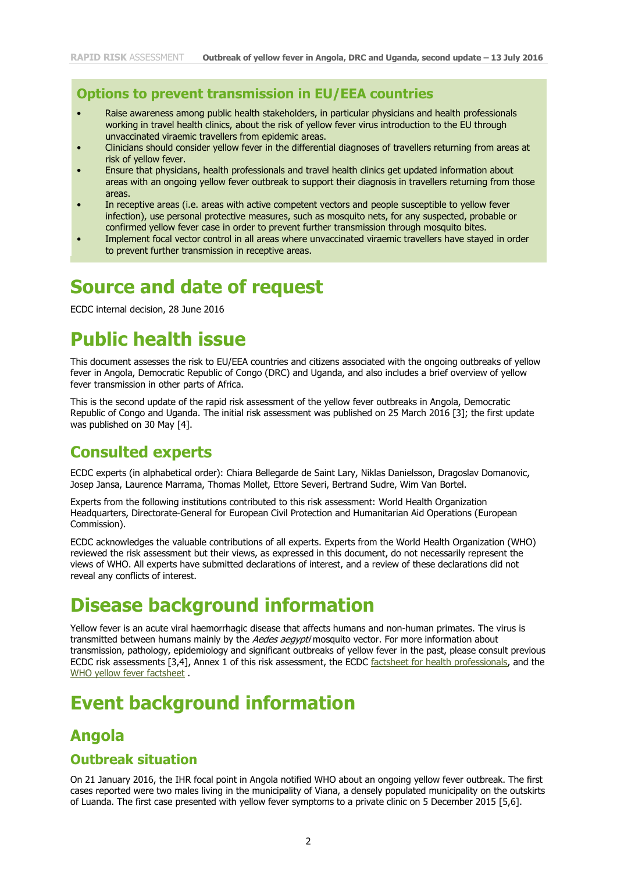#### **Options to prevent transmission in EU/EEA countries**

- Raise awareness among public health stakeholders, in particular physicians and health professionals working in travel health clinics, about the risk of yellow fever virus introduction to the EU through unvaccinated viraemic travellers from epidemic areas.
- Clinicians should consider yellow fever in the differential diagnoses of travellers returning from areas at risk of yellow fever.
- Ensure that physicians, health professionals and travel health clinics get updated information about areas with an ongoing yellow fever outbreak to support their diagnosis in travellers returning from those areas.
- In receptive areas (i.e. areas with active competent vectors and people susceptible to yellow fever infection), use personal protective measures, such as mosquito nets, for any suspected, probable or confirmed yellow fever case in order to prevent further transmission through mosquito bites.
- Implement focal vector control in all areas where unvaccinated viraemic travellers have stayed in order to prevent further transmission in receptive areas.

# **Source and date of request**

ECDC internal decision, 28 June 2016

# **Public health issue**

This document assesses the risk to EU/EEA countries and citizens associated with the ongoing outbreaks of yellow fever in Angola, Democratic Republic of Congo (DRC) and Uganda, and also includes a brief overview of yellow fever transmission in other parts of Africa.

This is the second update of the rapid risk assessment of the yellow fever outbreaks in Angola, Democratic Republic of Congo and Uganda. The initial risk assessment was published on 25 March 2016 [3]; the first update was published on 30 May [4].

### **Consulted experts**

ECDC experts (in alphabetical order): Chiara Bellegarde de Saint Lary, Niklas Danielsson, Dragoslav Domanovic, Josep Jansa, Laurence Marrama, Thomas Mollet, Ettore Severi, Bertrand Sudre, Wim Van Bortel.

Experts from the following institutions contributed to this risk assessment: World Health Organization Headquarters, Directorate-General for European Civil Protection and Humanitarian Aid Operations (European Commission).

ECDC acknowledges the valuable contributions of all experts. Experts from the World Health Organization (WHO) reviewed the risk assessment but their views, as expressed in this document, do not necessarily represent the views of WHO. All experts have submitted declarations of interest, and a review of these declarations did not reveal any conflicts of interest.

# **Disease background information**

Yellow fever is an acute viral haemorrhagic disease that affects humans and non-human primates. The virus is transmitted between humans mainly by the Aedes aegypti mosquito vector. For more information about transmission, pathology, epidemiology and significant outbreaks of yellow fever in the past, please consult previous ECDC risk assessments [3,4], Annex 1 of this risk assessment, the ECDC [factsheet](http://ecdc.europa.eu/en/healthtopics/yellow_fever/factsheet-health-professionals/Pages/factsheet_health_professionals.aspx) for health professionals, and the [WHO yellow fever factsheet](http://www.who.int/entity/mediacentre/factsheets/fs100/en/index.html) .

# **Event background information**

### **Angola**

#### **Outbreak situation**

On 21 January 2016, the IHR focal point in Angola notified WHO about an ongoing yellow fever outbreak. The first cases reported were two males living in the municipality of Viana, a densely populated municipality on the outskirts of Luanda. The first case presented with yellow fever symptoms to a private clinic on 5 December 2015 [5,6].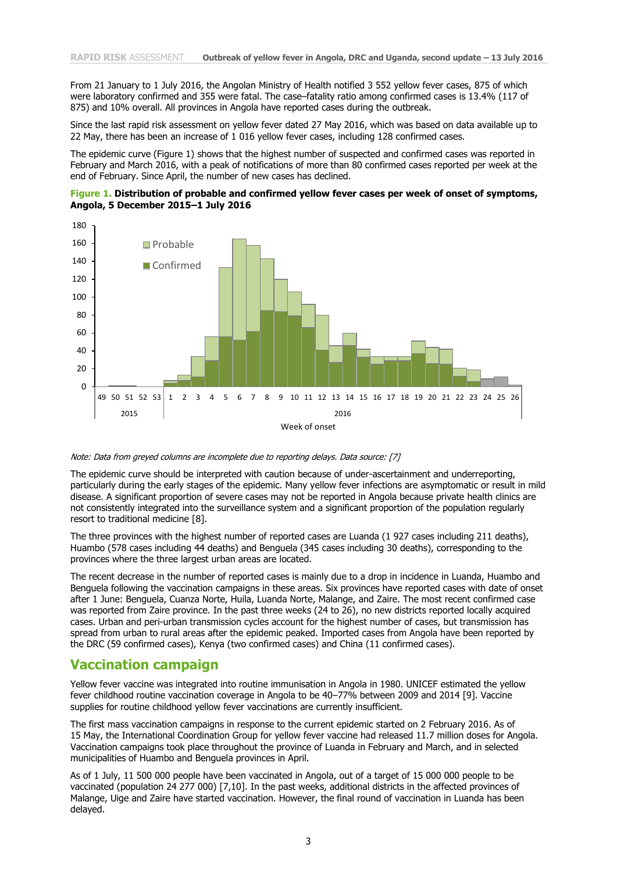From 21 January to 1 July 2016, the Angolan Ministry of Health notified 3 552 yellow fever cases, 875 of which were laboratory confirmed and 355 were fatal. The case–fatality ratio among confirmed cases is 13.4% (117 of 875) and 10% overall. All provinces in Angola have reported cases during the outbreak.

Since the last rapid risk assessment on yellow fever dated 27 May 2016, which was based on data available up to 22 May, there has been an increase of 1 016 yellow fever cases, including 128 confirmed cases.

The epidemic curve (Figure 1) shows that the highest number of suspected and confirmed cases was reported in February and March 2016, with a peak of notifications of more than 80 confirmed cases reported per week at the end of February. Since April, the number of new cases has declined.





#### Note: Data from greyed columns are incomplete due to reporting delays. Data source: [7]

The epidemic curve should be interpreted with caution because of under-ascertainment and underreporting, particularly during the early stages of the epidemic. Many yellow fever infections are asymptomatic or result in mild disease. A significant proportion of severe cases may not be reported in Angola because private health clinics are not consistently integrated into the surveillance system and a significant proportion of the population regularly resort to traditional medicine [8].

The three provinces with the highest number of reported cases are Luanda (1 927 cases including 211 deaths), Huambo (578 cases including 44 deaths) and Benguela (345 cases including 30 deaths), corresponding to the provinces where the three largest urban areas are located.

The recent decrease in the number of reported cases is mainly due to a drop in incidence in Luanda, Huambo and Benguela following the vaccination campaigns in these areas. Six provinces have reported cases with date of onset after 1 June: Benguela, Cuanza Norte, Huila, Luanda Norte, Malange, and Zaire. The most recent confirmed case was reported from Zaire province. In the past three weeks (24 to 26), no new districts reported locally acquired cases. Urban and peri-urban transmission cycles account for the highest number of cases, but transmission has spread from urban to rural areas after the epidemic peaked. Imported cases from Angola have been reported by the DRC (59 confirmed cases), Kenya (two confirmed cases) and China (11 confirmed cases).

#### **Vaccination campaign**

Yellow fever vaccine was integrated into routine immunisation in Angola in 1980. UNICEF estimated the yellow fever childhood routine vaccination coverage in Angola to be 40–77% between 2009 and 2014 [9]. Vaccine supplies for routine childhood yellow fever vaccinations are currently insufficient.

The first mass vaccination campaigns in response to the current epidemic started on 2 February 2016. As of 15 May, the International Coordination Group for yellow fever vaccine had released 11.7 million doses for Angola. Vaccination campaigns took place throughout the province of Luanda in February and March, and in selected municipalities of Huambo and Benguela provinces in April.

As of 1 July, 11 500 000 people have been vaccinated in Angola, out of a target of 15 000 000 people to be vaccinated (population 24 277 000) [7,10]. In the past weeks, additional districts in the affected provinces of Malange, Uige and Zaire have started vaccination. However, the final round of vaccination in Luanda has been delayed.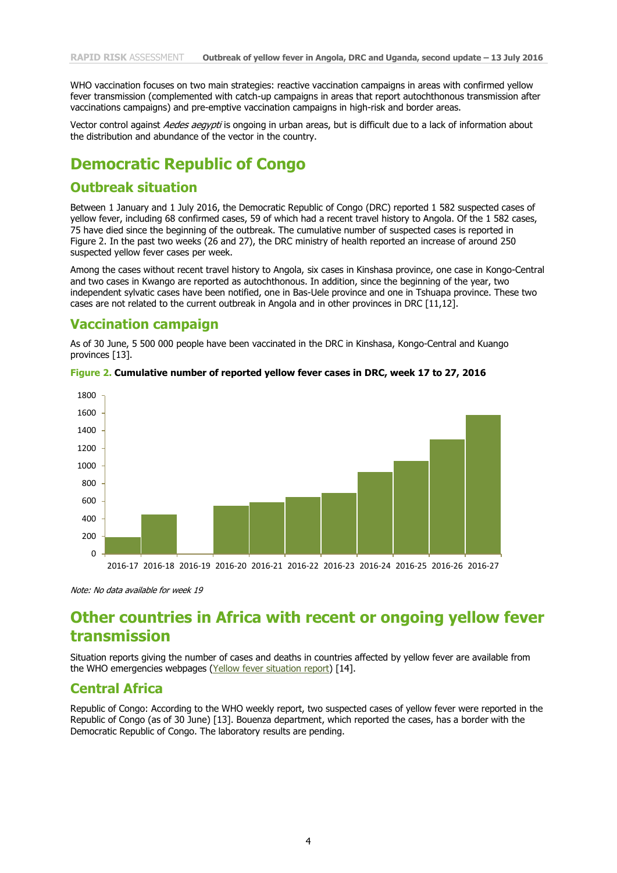WHO vaccination focuses on two main strategies: reactive vaccination campaigns in areas with confirmed yellow fever transmission (complemented with catch-up campaigns in areas that report autochthonous transmission after vaccinations campaigns) and pre-emptive vaccination campaigns in high-risk and border areas.

Vector control against Aedes aegypti is ongoing in urban areas, but is difficult due to a lack of information about the distribution and abundance of the vector in the country.

### **Democratic Republic of Congo**

#### **Outbreak situation**

Between 1 January and 1 July 2016, the Democratic Republic of Congo (DRC) reported 1 582 suspected cases of yellow fever, including 68 confirmed cases, 59 of which had a recent travel history to Angola. Of the 1 582 cases, 75 have died since the beginning of the outbreak. The cumulative number of suspected cases is reported in Figure 2. In the past two weeks (26 and 27), the DRC ministry of health reported an increase of around 250 suspected yellow fever cases per week.

Among the cases without recent travel history to Angola, six cases in Kinshasa province, one case in Kongo-Central and two cases in Kwango are reported as autochthonous. In addition, since the beginning of the year, two independent sylvatic cases have been notified, one in Bas-Uele province and one in Tshuapa province. These two cases are not related to the current outbreak in Angola and in other provinces in DRC [11,12].

#### **Vaccination campaign**

As of 30 June, 5 500 000 people have been vaccinated in the DRC in Kinshasa, Kongo-Central and Kuango provinces [13].



#### **Figure 2. Cumulative number of reported yellow fever cases in DRC, week 17 to 27, 2016**

Note: No data available for week 19

### **Other countries in Africa with recent or ongoing yellow fever transmission**

Situation reports giving the number of cases and deaths in countries affected by yellow fever are available from the WHO emergencies webpages [\(Yellow fever situation report\)](http://www.who.int/entity/emergencies/yellow-fever/situation-reports/archive/en/index.html) [14].

#### **Central Africa**

Republic of Congo: According to the WHO weekly report, two suspected cases of yellow fever were reported in the Republic of Congo (as of 30 June) [13]. Bouenza department, which reported the cases, has a border with the Democratic Republic of Congo. The laboratory results are pending.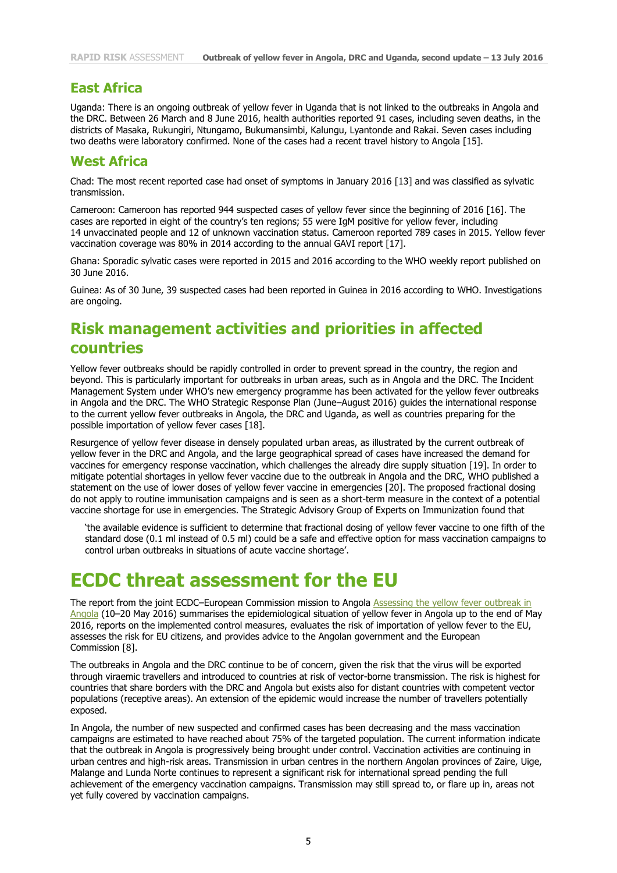#### **East Africa**

Uganda: There is an ongoing outbreak of yellow fever in Uganda that is not linked to the outbreaks in Angola and the DRC. Between 26 March and 8 June 2016, health authorities reported 91 cases, including seven deaths, in the districts of Masaka, Rukungiri, Ntungamo, Bukumansimbi, Kalungu, Lyantonde and Rakai. Seven cases including two deaths were laboratory confirmed. None of the cases had a recent travel history to Angola [15].

#### **West Africa**

Chad: The most recent reported case had onset of symptoms in January 2016 [13] and was classified as sylvatic transmission.

Cameroon: Cameroon has reported 944 suspected cases of yellow fever since the beginning of 2016 [16]. The cases are reported in eight of the country's ten regions; 55 were IgM positive for yellow fever, including 14 unvaccinated people and 12 of unknown vaccination status. Cameroon reported 789 cases in 2015. Yellow fever vaccination coverage was 80% in 2014 according to the annual GAVI report [17].

Ghana: Sporadic sylvatic cases were reported in 2015 and 2016 according to the WHO weekly report published on 30 June 2016.

Guinea: As of 30 June, 39 suspected cases had been reported in Guinea in 2016 according to WHO. Investigations are ongoing.

### **Risk management activities and priorities in affected countries**

Yellow fever outbreaks should be rapidly controlled in order to prevent spread in the country, the region and beyond. This is particularly important for outbreaks in urban areas, such as in Angola and the DRC. The Incident Management System under WHO's new emergency programme has been activated for the yellow fever outbreaks in Angola and the DRC. The WHO Strategic Response Plan (June–August 2016) guides the international response to the current yellow fever outbreaks in Angola, the DRC and Uganda, as well as countries preparing for the possible importation of yellow fever cases [18].

Resurgence of yellow fever disease in densely populated urban areas, as illustrated by the current outbreak of yellow fever in the DRC and Angola, and the large geographical spread of cases have increased the demand for vaccines for emergency response vaccination, which challenges the already dire supply situation [19]. In order to mitigate potential shortages in yellow fever vaccine due to the outbreak in Angola and the DRC, WHO published a statement on the use of lower doses of yellow fever vaccine in emergencies [20]. The proposed fractional dosing do not apply to routine immunisation campaigns and is seen as a short-term measure in the context of a potential vaccine shortage for use in emergencies. The Strategic Advisory Group of Experts on Immunization found that

'the available evidence is sufficient to determine that fractional dosing of yellow fever vaccine to one fifth of the standard dose (0.1 ml instead of 0.5 ml) could be a safe and effective option for mass vaccination campaigns to control urban outbreaks in situations of acute vaccine shortage'.

## **ECDC threat assessment for the EU**

The report from the joint ECDC–European Commission mission to Angola Assessing [the yellow fever outbreak](http://ecdc.europa.eu/en/publications/Publications/yellow-fever-angola-joint-ecdc-mission-report-2016.pdf) in [Angola](http://ecdc.europa.eu/en/publications/Publications/yellow-fever-angola-joint-ecdc-mission-report-2016.pdf) (10–20 May 2016) summarises the epidemiological situation of yellow fever in Angola up to the end of May 2016, reports on the implemented control measures, evaluates the risk of importation of yellow fever to the EU, assesses the risk for EU citizens, and provides advice to the Angolan government and the European Commission [8].

The outbreaks in Angola and the DRC continue to be of concern, given the risk that the virus will be exported through viraemic travellers and introduced to countries at risk of vector-borne transmission. The risk is highest for countries that share borders with the DRC and Angola but exists also for distant countries with competent vector populations (receptive areas). An extension of the epidemic would increase the number of travellers potentially exposed.

In Angola, the number of new suspected and confirmed cases has been decreasing and the mass vaccination campaigns are estimated to have reached about 75% of the targeted population. The current information indicate that the outbreak in Angola is progressively being brought under control. Vaccination activities are continuing in urban centres and high-risk areas. Transmission in urban centres in the northern Angolan provinces of Zaire, Uige, Malange and Lunda Norte continues to represent a significant risk for international spread pending the full achievement of the emergency vaccination campaigns. Transmission may still spread to, or flare up in, areas not yet fully covered by vaccination campaigns.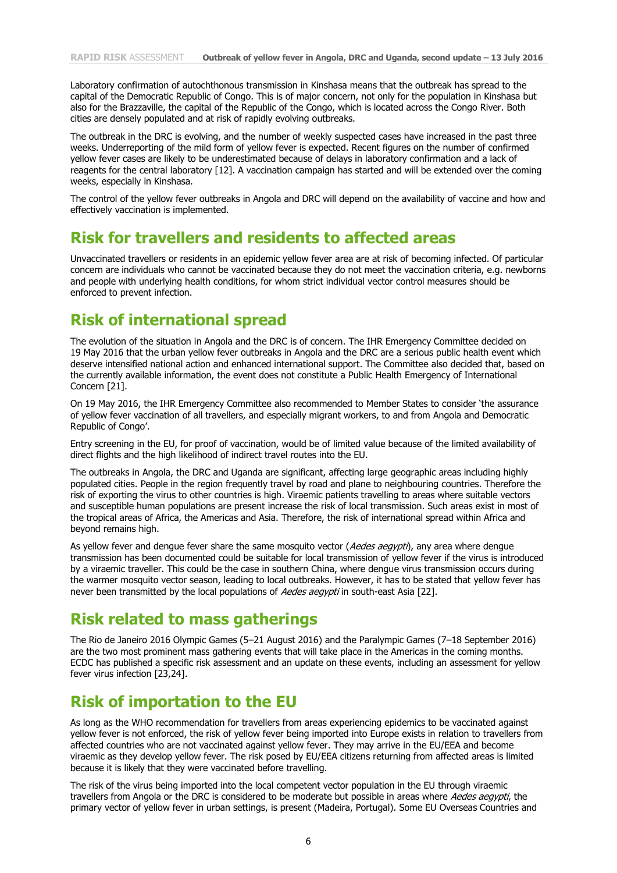Laboratory confirmation of autochthonous transmission in Kinshasa means that the outbreak has spread to the capital of the Democratic Republic of Congo. This is of major concern, not only for the population in Kinshasa but also for the Brazzaville, the capital of the Republic of the Congo, which is located across the Congo River. Both cities are densely populated and at risk of rapidly evolving outbreaks.

The outbreak in the DRC is evolving, and the number of weekly suspected cases have increased in the past three weeks. Underreporting of the mild form of yellow fever is expected. Recent figures on the number of confirmed yellow fever cases are likely to be underestimated because of delays in laboratory confirmation and a lack of reagents for the central laboratory [12]. A vaccination campaign has started and will be extended over the coming weeks, especially in Kinshasa.

The control of the yellow fever outbreaks in Angola and DRC will depend on the availability of vaccine and how and effectively vaccination is implemented.

### **Risk for travellers and residents to affected areas**

Unvaccinated travellers or residents in an epidemic yellow fever area are at risk of becoming infected. Of particular concern are individuals who cannot be vaccinated because they do not meet the vaccination criteria, e.g. newborns and people with underlying health conditions, for whom strict individual vector control measures should be enforced to prevent infection.

### **Risk of international spread**

The evolution of the situation in Angola and the DRC is of concern. The IHR Emergency Committee decided on 19 May 2016 that the urban yellow fever outbreaks in Angola and the DRC are a serious public health event which deserve intensified national action and enhanced international support. The Committee also decided that, based on the currently available information, the event does not constitute a Public Health Emergency of International Concern [21].

On 19 May 2016, the IHR Emergency Committee also recommended to Member States to consider 'the assurance of yellow fever vaccination of all travellers, and especially migrant workers, to and from Angola and Democratic Republic of Congo'.

Entry screening in the EU, for proof of vaccination, would be of limited value because of the limited availability of direct flights and the high likelihood of indirect travel routes into the EU.

The outbreaks in Angola, the DRC and Uganda are significant, affecting large geographic areas including highly populated cities. People in the region frequently travel by road and plane to neighbouring countries. Therefore the risk of exporting the virus to other countries is high. Viraemic patients travelling to areas where suitable vectors and susceptible human populations are present increase the risk of local transmission. Such areas exist in most of the tropical areas of Africa, the Americas and Asia. Therefore, the risk of international spread within Africa and beyond remains high.

As yellow fever and dengue fever share the same mosquito vector (Aedes aegypti), any area where dengue transmission has been documented could be suitable for local transmission of yellow fever if the virus is introduced by a viraemic traveller. This could be the case in southern China, where dengue virus transmission occurs during the warmer mosquito vector season, leading to local outbreaks. However, it has to be stated that yellow fever has never been transmitted by the local populations of Aedes aeavpti in south-east Asia [22].

### **Risk related to mass gatherings**

The Rio de Janeiro 2016 Olympic Games (5–21 August 2016) and the Paralympic Games (7–18 September 2016) are the two most prominent mass gathering events that will take place in the Americas in the coming months. ECDC has published a specific risk assessment and an update on these events, including an assessment for yellow fever virus infection [23,24].

### **Risk of importation to the EU**

As long as the WHO recommendation for travellers from areas experiencing epidemics to be vaccinated against yellow fever is not enforced, the risk of yellow fever being imported into Europe exists in relation to travellers from affected countries who are not vaccinated against yellow fever. They may arrive in the EU/EEA and become viraemic as they develop yellow fever. The risk posed by EU/EEA citizens returning from affected areas is limited because it is likely that they were vaccinated before travelling.

The risk of the virus being imported into the local competent vector population in the EU through viraemic travellers from Angola or the DRC is considered to be moderate but possible in areas where Aedes aegypti, the primary vector of yellow fever in urban settings, is present (Madeira, Portugal). Some EU Overseas Countries and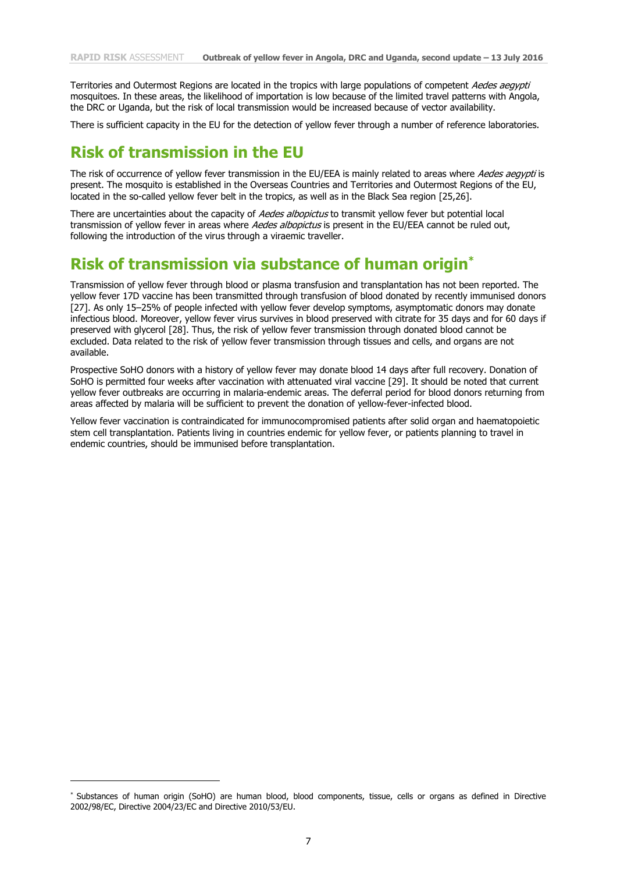Territories and Outermost Regions are located in the tropics with large populations of competent Aedes aegypti mosquitoes. In these areas, the likelihood of importation is low because of the limited travel patterns with Angola, the DRC or Uganda, but the risk of local transmission would be increased because of vector availability.

There is sufficient capacity in the EU for the detection of yellow fever through a number of reference laboratories.

### **Risk of transmission in the EU**

The risk of occurrence of yellow fever transmission in the EU/EEA is mainly related to areas where Aedes aegypti is present. The mosquito is established in the Overseas Countries and Territories and Outermost Regions of the EU, located in the so-called yellow fever belt in the tropics, as well as in the Black Sea region [25,26].

There are uncertainties about the capacity of Aedes albopictus to transmit yellow fever but potential local transmission of yellow fever in areas where Aedes albopictus is present in the EU/EEA cannot be ruled out, following the introduction of the virus through a viraemic traveller.

### **Risk of transmission via substance of human origin\***

Transmission of yellow fever through blood or plasma transfusion and transplantation has not been reported. The yellow fever 17D vaccine has been transmitted through transfusion of blood donated by recently immunised donors [27]. As only 15–25% of people infected with yellow fever develop symptoms, asymptomatic donors may donate infectious blood. Moreover, yellow fever virus survives in blood preserved with citrate for 35 days and for 60 days if preserved with glycerol [28]. Thus, the risk of yellow fever transmission through donated blood cannot be excluded. Data related to the risk of yellow fever transmission through tissues and cells, and organs are not available.

Prospective SoHO donors with a history of yellow fever may donate blood 14 days after full recovery. Donation of SoHO is permitted four weeks after vaccination with attenuated viral vaccine [29]. It should be noted that current yellow fever outbreaks are occurring in malaria-endemic areas. The deferral period for blood donors returning from areas affected by malaria will be sufficient to prevent the donation of yellow-fever-infected blood.

Yellow fever vaccination is contraindicated for immunocompromised patients after solid organ and haematopoietic stem cell transplantation. Patients living in countries endemic for yellow fever, or patients planning to travel in endemic countries, should be immunised before transplantation.

j

<sup>\*</sup> Substances of human origin (SoHO) are human blood, blood components, tissue, cells or organs as defined in Directive 2002/98/EC, Directive 2004/23/EC and Directive 2010/53/EU.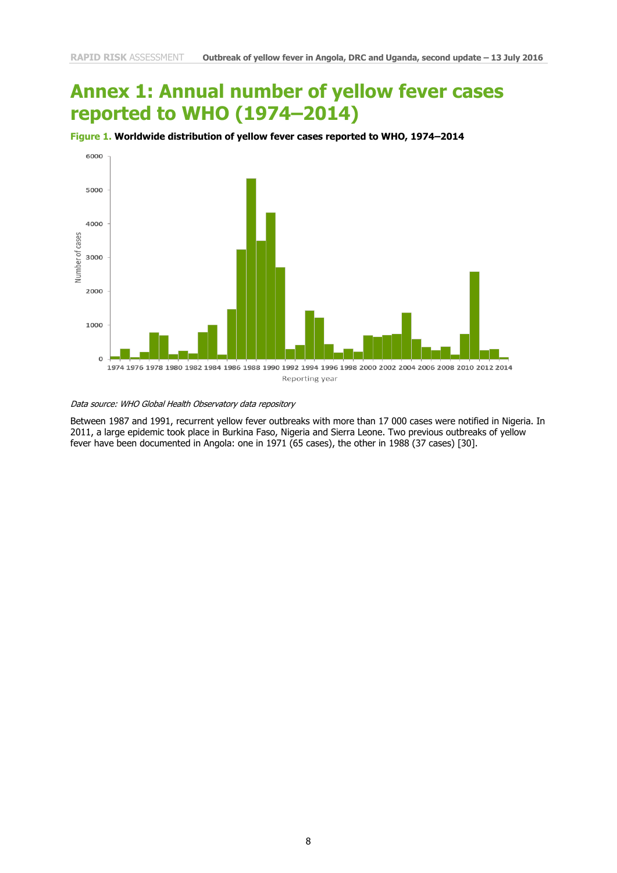# **Annex 1: Annual number of yellow fever cases reported to WHO (1974–2014)**





Data source: WHO Global Health Observatory data repository

Between 1987 and 1991, recurrent yellow fever outbreaks with more than 17 000 cases were notified in Nigeria. In 2011, a large epidemic took place in Burkina Faso, Nigeria and Sierra Leone. Two previous outbreaks of yellow fever have been documented in Angola: one in 1971 (65 cases), the other in 1988 (37 cases) [30].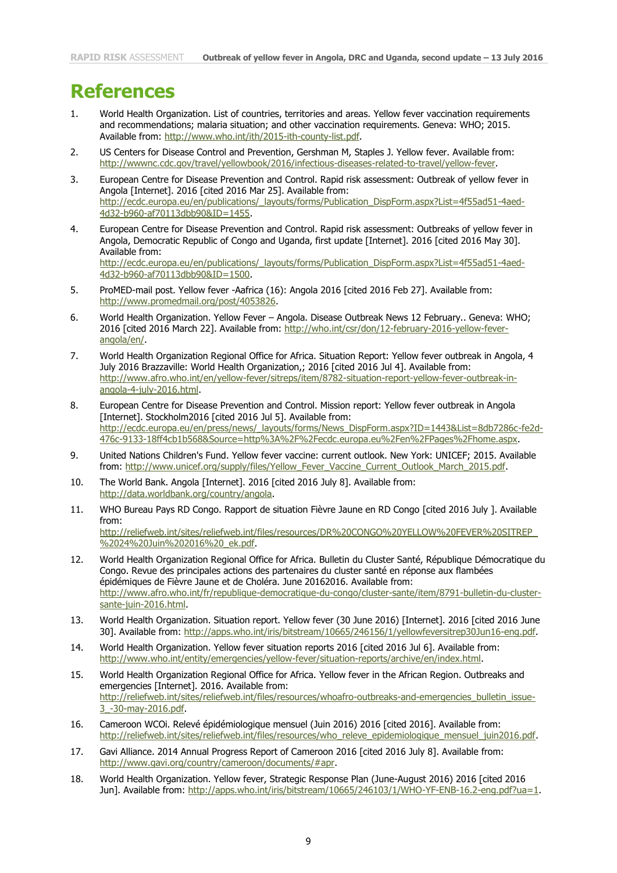## **References**

- 1. World Health Organization. List of countries, territories and areas. Yellow fever vaccination requirements and recommendations; malaria situation; and other vaccination requirements. Geneva: WHO; 2015. Available from: [http://www.who.int/ith/2015-ith-county-list.pdf.](http://www.who.int/ith/2015-ith-county-list.pdf)
- 2. US Centers for Disease Control and Prevention, Gershman M, Staples J. Yellow fever. Available from: [http://wwwnc.cdc.gov/travel/yellowbook/2016/infectious-diseases-related-to-travel/yellow-fever.](http://wwwnc.cdc.gov/travel/yellowbook/2016/infectious-diseases-related-to-travel/yellow-fever)
- 3. European Centre for Disease Prevention and Control. Rapid risk assessment: Outbreak of yellow fever in Angola [Internet]. 2016 [cited 2016 Mar 25]. Available from: [http://ecdc.europa.eu/en/publications/\\_layouts/forms/Publication\\_DispForm.aspx?List=4f55ad51-4aed-](http://ecdc.europa.eu/en/publications/_layouts/forms/Publication_DispForm.aspx?List=4f55ad51-4aed-4d32-b960-af70113dbb90&ID=1455)[4d32-b960-af70113dbb90&ID=1455.](http://ecdc.europa.eu/en/publications/_layouts/forms/Publication_DispForm.aspx?List=4f55ad51-4aed-4d32-b960-af70113dbb90&ID=1455)
- 4. European Centre for Disease Prevention and Control. Rapid risk assessment: Outbreaks of yellow fever in Angola, Democratic Republic of Congo and Uganda, first update [Internet]. 2016 [cited 2016 May 30]. Available from: [http://ecdc.europa.eu/en/publications/\\_layouts/forms/Publication\\_DispForm.aspx?List=4f55ad51-4aed-](http://ecdc.europa.eu/en/publications/_layouts/forms/Publication_DispForm.aspx?List=4f55ad51-4aed-4d32-b960-af70113dbb90&ID=1500)[4d32-b960-af70113dbb90&ID=1500.](http://ecdc.europa.eu/en/publications/_layouts/forms/Publication_DispForm.aspx?List=4f55ad51-4aed-4d32-b960-af70113dbb90&ID=1500)
- 5. ProMED-mail post. Yellow fever -Aafrica (16): Angola 2016 [cited 2016 Feb 27]. Available from: [http://www.promedmail.org/post/4053826.](http://www.promedmail.org/post/4053826)
- 6. World Health Organization. Yellow Fever Angola. Disease Outbreak News 12 February.. Geneva: WHO; 2016 [cited 2016 March 22]. Available from: [http://who.int/csr/don/12-february-2016-yellow-fever](http://who.int/csr/don/12-february-2016-yellow-fever-angola/en/)[angola/en/.](http://who.int/csr/don/12-february-2016-yellow-fever-angola/en/)
- 7. World Health Organization Regional Office for Africa. Situation Report: Yellow fever outbreak in Angola, 4 July 2016 Brazzaville: World Health Organization,; 2016 [cited 2016 Jul 4]. Available from: [http://www.afro.who.int/en/yellow-fever/sitreps/item/8782-situation-report-yellow-fever-outbreak-in](http://www.afro.who.int/en/yellow-fever/sitreps/item/8782-situation-report-yellow-fever-outbreak-in-angola-4-july-2016.html)[angola-4-july-2016.html.](http://www.afro.who.int/en/yellow-fever/sitreps/item/8782-situation-report-yellow-fever-outbreak-in-angola-4-july-2016.html)
- 8. European Centre for Disease Prevention and Control. Mission report: Yellow fever outbreak in Angola [Internet]. Stockholm2016 [cited 2016 Jul 5]. Available from: [http://ecdc.europa.eu/en/press/news/\\_layouts/forms/News\\_DispForm.aspx?ID=1443&List=8db7286c-fe2d-](http://ecdc.europa.eu/en/press/news/_layouts/forms/News_DispForm.aspx?ID=1443&List=8db7286c-fe2d-476c-9133-18ff4cb1b568&Source=http%3A%2F%2Fecdc.europa.eu%2Fen%2FPages%2Fhome.aspx)[476c-9133-18ff4cb1b568&Source=http%3A%2F%2Fecdc.europa.eu%2Fen%2FPages%2Fhome.aspx.](http://ecdc.europa.eu/en/press/news/_layouts/forms/News_DispForm.aspx?ID=1443&List=8db7286c-fe2d-476c-9133-18ff4cb1b568&Source=http%3A%2F%2Fecdc.europa.eu%2Fen%2FPages%2Fhome.aspx)
- 9. United Nations Children's Fund. Yellow fever vaccine: current outlook. New York: UNICEF; 2015. Available from: [http://www.unicef.org/supply/files/Yellow\\_Fever\\_Vaccine\\_Current\\_Outlook\\_March\\_2015.pdf.](http://www.unicef.org/supply/files/Yellow_Fever_Vaccine_Current_Outlook_March_2015.pdf)
- 10. The World Bank. Angola [Internet]. 2016 [cited 2016 July 8]. Available from: [http://data.worldbank.org/country/angola.](http://data.worldbank.org/country/angola)
- 11. WHO Bureau Pays RD Congo. Rapport de situation Fièvre Jaune en RD Congo [cited 2016 July ]. Available from: [http://reliefweb.int/sites/reliefweb.int/files/resources/DR%20CONGO%20YELLOW%20FEVER%20SITREP\\_](http://reliefweb.int/sites/reliefweb.int/files/resources/DR%20CONGO%20YELLOW%20FEVER%20SITREP_%2024%20Juin%202016%20_ek.pdf) [%2024%20Juin%202016%20\\_ek.pdf.](http://reliefweb.int/sites/reliefweb.int/files/resources/DR%20CONGO%20YELLOW%20FEVER%20SITREP_%2024%20Juin%202016%20_ek.pdf)
- 12. World Health Organization Regional Office for Africa. Bulletin du Cluster Santé, République Démocratique du Congo. Revue des principales actions des partenaires du cluster santé en réponse aux flambées épidémiques de Fièvre Jaune et de Choléra. June 20162016. Available from: [http://www.afro.who.int/fr/republique-democratique-du-congo/cluster-sante/item/8791-bulletin-du-cluster](http://www.afro.who.int/fr/republique-democratique-du-congo/cluster-sante/item/8791-bulletin-du-cluster-sante-juin-2016.html)[sante-juin-2016.html.](http://www.afro.who.int/fr/republique-democratique-du-congo/cluster-sante/item/8791-bulletin-du-cluster-sante-juin-2016.html)
- 13. World Health Organization. Situation report. Yellow fever (30 June 2016) [Internet]. 2016 [cited 2016 June 30]. Available from: [http://apps.who.int/iris/bitstream/10665/246156/1/yellowfeversitrep30Jun16-eng.pdf.](http://apps.who.int/iris/bitstream/10665/246156/1/yellowfeversitrep30Jun16-eng.pdf)
- 14. World Health Organization. Yellow fever situation reports 2016 [cited 2016 Jul 6]. Available from: [http://www.who.int/entity/emergencies/yellow-fever/situation-reports/archive/en/index.html.](http://www.who.int/entity/emergencies/yellow-fever/situation-reports/archive/en/index.html)
- 15. World Health Organization Regional Office for Africa. Yellow fever in the African Region. Outbreaks and emergencies [Internet]. 2016. Available from: [http://reliefweb.int/sites/reliefweb.int/files/resources/whoafro-outbreaks-and-emergencies\\_bulletin\\_issue-](http://reliefweb.int/sites/reliefweb.int/files/resources/whoafro-outbreaks-and-emergencies_bulletin_issue-3_-30-may-2016.pdf)[3\\_-30-may-2016.pdf.](http://reliefweb.int/sites/reliefweb.int/files/resources/whoafro-outbreaks-and-emergencies_bulletin_issue-3_-30-may-2016.pdf)
- 16. Cameroon WCOi. Relevé épidémiologique mensuel (Juin 2016) 2016 [cited 2016]. Available from: [http://reliefweb.int/sites/reliefweb.int/files/resources/who\\_releve\\_epidemiologique\\_mensuel\\_juin2016.pdf.](http://reliefweb.int/sites/reliefweb.int/files/resources/who_releve_epidemiologique_mensuel_juin2016.pdf)
- 17. Gavi Alliance. 2014 Annual Progress Report of Cameroon 2016 [cited 2016 July 8]. Available from: [http://www.gavi.org/country/cameroon/documents/#apr.](http://www.gavi.org/country/cameroon/documents/#apr)
- 18. World Health Organization. Yellow fever, Strategic Response Plan (June-August 2016) 2016 [cited 2016 Jun]. Available from: [http://apps.who.int/iris/bitstream/10665/246103/1/WHO-YF-ENB-16.2-eng.pdf?ua=1.](http://apps.who.int/iris/bitstream/10665/246103/1/WHO-YF-ENB-16.2-eng.pdf?ua=1)